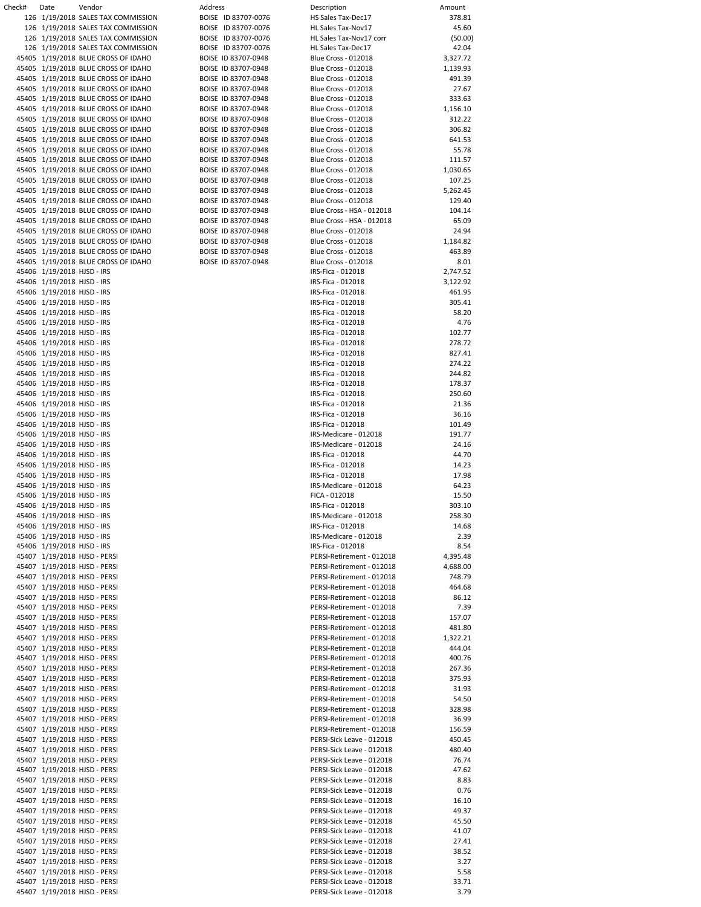| Check# | Date                       | Vendor                              | Address             | Description                | Amount  |
|--------|----------------------------|-------------------------------------|---------------------|----------------------------|---------|
|        |                            |                                     |                     |                            |         |
|        |                            | 126 1/19/2018 SALES TAX COMMISSION  | BOISE ID 83707-0076 | HS Sales Tax-Dec17         | 378.8   |
|        |                            | 126 1/19/2018 SALES TAX COMMISSION  | BOISE ID 83707-0076 | HL Sales Tax-Nov17         | 45.6    |
|        |                            | 126 1/19/2018 SALES TAX COMMISSION  | BOISE ID 83707-0076 | HL Sales Tax-Nov17 corr    | (50.0)  |
|        |                            |                                     |                     |                            |         |
|        |                            | 126 1/19/2018 SALES TAX COMMISSION  | BOISE ID 83707-0076 | HL Sales Tax-Dec17         | 42.C    |
|        |                            | 45405 1/19/2018 BLUE CROSS OF IDAHO | BOISE ID 83707-0948 | <b>Blue Cross - 012018</b> | 3,327.7 |
|        |                            | 45405 1/19/2018 BLUE CROSS OF IDAHO | BOISE ID 83707-0948 | <b>Blue Cross - 012018</b> | 1,139.9 |
|        |                            | 45405 1/19/2018 BLUE CROSS OF IDAHO | BOISE ID 83707-0948 | <b>Blue Cross - 012018</b> | 491.3   |
|        |                            |                                     |                     |                            |         |
|        |                            | 45405 1/19/2018 BLUE CROSS OF IDAHO | BOISE ID 83707-0948 | <b>Blue Cross - 012018</b> | 27.6    |
|        |                            | 45405 1/19/2018 BLUE CROSS OF IDAHO | BOISE ID 83707-0948 | <b>Blue Cross - 012018</b> | 333.6   |
|        |                            | 45405 1/19/2018 BLUE CROSS OF IDAHO | BOISE ID 83707-0948 | <b>Blue Cross - 012018</b> | 1,156.1 |
|        |                            |                                     |                     |                            |         |
|        |                            | 45405 1/19/2018 BLUE CROSS OF IDAHO | BOISE ID 83707-0948 | <b>Blue Cross - 012018</b> | 312.2   |
|        |                            | 45405 1/19/2018 BLUE CROSS OF IDAHO | BOISE ID 83707-0948 | <b>Blue Cross - 012018</b> | 306.8   |
|        |                            | 45405 1/19/2018 BLUE CROSS OF IDAHO | BOISE ID 83707-0948 | <b>Blue Cross - 012018</b> | 641.5   |
|        |                            | 45405 1/19/2018 BLUE CROSS OF IDAHO | BOISE ID 83707-0948 | <b>Blue Cross - 012018</b> | 55.7    |
|        |                            |                                     |                     |                            |         |
|        |                            | 45405 1/19/2018 BLUE CROSS OF IDAHO | BOISE ID 83707-0948 | <b>Blue Cross - 012018</b> | 111.5   |
|        |                            | 45405 1/19/2018 BLUE CROSS OF IDAHO | BOISE ID 83707-0948 | <b>Blue Cross - 012018</b> | 1,030.6 |
|        |                            | 45405 1/19/2018 BLUE CROSS OF IDAHO | BOISE ID 83707-0948 | <b>Blue Cross - 012018</b> | 107.2   |
|        |                            |                                     |                     |                            |         |
|        |                            | 45405 1/19/2018 BLUE CROSS OF IDAHO | BOISE ID 83707-0948 | <b>Blue Cross - 012018</b> | 5,262.4 |
|        |                            | 45405 1/19/2018 BLUE CROSS OF IDAHO | BOISE ID 83707-0948 | <b>Blue Cross - 012018</b> | 129.4   |
|        |                            | 45405 1/19/2018 BLUE CROSS OF IDAHO | BOISE ID 83707-0948 | Blue Cross - HSA - 012018  | 104.1   |
|        |                            | 45405 1/19/2018 BLUE CROSS OF IDAHO | BOISE ID 83707-0948 | Blue Cross - HSA - 012018  | 65.C    |
|        |                            |                                     |                     |                            |         |
|        |                            | 45405 1/19/2018 BLUE CROSS OF IDAHO | BOISE ID 83707-0948 | <b>Blue Cross - 012018</b> | 24.9    |
|        |                            | 45405 1/19/2018 BLUE CROSS OF IDAHO | BOISE ID 83707-0948 | <b>Blue Cross - 012018</b> | 1,184.8 |
|        |                            | 45405 1/19/2018 BLUE CROSS OF IDAHO | BOISE ID 83707-0948 | <b>Blue Cross - 012018</b> | 463.8   |
|        |                            |                                     |                     |                            |         |
|        |                            | 45405 1/19/2018 BLUE CROSS OF IDAHO | BOISE ID 83707-0948 | <b>Blue Cross - 012018</b> | 8.C     |
|        | 45406 1/19/2018 HJSD - IRS |                                     |                     | IRS-Fica - 012018          | 2,747.5 |
|        | 45406 1/19/2018 HJSD - IRS |                                     |                     | IRS-Fica - 012018          | 3,122.9 |
|        |                            |                                     |                     |                            |         |
|        | 45406 1/19/2018 HJSD - IRS |                                     |                     | IRS-Fica - 012018          | 461.9   |
|        | 45406 1/19/2018 HJSD - IRS |                                     |                     | IRS-Fica - 012018          | 305.4   |
|        | 45406 1/19/2018 HJSD - IRS |                                     |                     | IRS-Fica - 012018          | 58.2    |
|        | 45406 1/19/2018 HJSD - IRS |                                     |                     | IRS-Fica - 012018          | 4.7     |
|        |                            |                                     |                     |                            |         |
|        | 45406 1/19/2018 HJSD - IRS |                                     |                     | IRS-Fica - 012018          | 102.7   |
|        | 45406 1/19/2018 HJSD - IRS |                                     |                     | IRS-Fica - 012018          | 278.7   |
|        | 45406 1/19/2018 HJSD - IRS |                                     |                     | IRS-Fica - 012018          | 827.4   |
|        |                            |                                     |                     |                            |         |
|        | 45406 1/19/2018 HJSD - IRS |                                     |                     | IRS-Fica - 012018          | 274.2   |
|        | 45406 1/19/2018 HJSD - IRS |                                     |                     | IRS-Fica - 012018          | 244.8   |
|        | 45406 1/19/2018 HJSD - IRS |                                     |                     | IRS-Fica - 012018          | 178.3   |
|        | 45406 1/19/2018 HJSD - IRS |                                     |                     | IRS-Fica - 012018          | 250.6   |
|        |                            |                                     |                     |                            |         |
|        | 45406 1/19/2018 HJSD - IRS |                                     |                     | IRS-Fica - 012018          | 21.3    |
|        | 45406 1/19/2018 HJSD - IRS |                                     |                     | IRS-Fica - 012018          | 36.1    |
|        | 45406 1/19/2018 HJSD - IRS |                                     |                     | IRS-Fica - 012018          | 101.4   |
|        |                            |                                     |                     |                            |         |
|        | 45406 1/19/2018 HJSD - IRS |                                     |                     | IRS-Medicare - 012018      | 191.7   |
|        | 45406 1/19/2018 HJSD - IRS |                                     |                     | IRS-Medicare - 012018      | 24.1    |
|        | 45406 1/19/2018 HJSD - IRS |                                     |                     | IRS-Fica - 012018          | 44.7    |
|        |                            |                                     |                     |                            | 14.2    |
|        | 45406 1/19/2018 HJSD - IRS |                                     |                     | IRS-Fica - 012018          |         |
|        | 45406 1/19/2018 HJSD - IRS |                                     |                     | IRS-Fica - 012018          | 17.9    |
|        | 45406 1/19/2018 HJSD - IRS |                                     |                     | IRS-Medicare - 012018      | 64.2    |
|        | 45406 1/19/2018 HJSD - IRS |                                     |                     | FICA - 012018              | 15.5    |
|        |                            |                                     |                     |                            |         |
|        | 45406 1/19/2018 HJSD - IRS |                                     |                     | IRS-Fica - 012018          | 303.1   |
|        | 45406 1/19/2018 HJSD - IRS |                                     |                     | IRS-Medicare - 012018      | 258.3   |
|        | 45406 1/19/2018 HJSD - IRS |                                     |                     | IRS-Fica - 012018          | 14.6    |
|        |                            |                                     |                     |                            |         |
|        | 45406 1/19/2018 HJSD - IRS |                                     |                     | IRS-Medicare - 012018      | 2.3     |
|        | 45406 1/19/2018 HJSD - IRS |                                     |                     | IRS-Fica - 012018          | 8.5     |
|        |                            | 45407 1/19/2018 HJSD - PERSI        |                     | PERSI-Retirement - 012018  | 4,395.4 |
|        |                            | 45407 1/19/2018 HJSD - PERSI        |                     | PERSI-Retirement - 012018  | 4,688.0 |
|        |                            |                                     |                     |                            |         |
|        |                            | 45407 1/19/2018 HJSD - PERSI        |                     | PERSI-Retirement - 012018  | 748.7   |
|        |                            | 45407 1/19/2018 HJSD - PERSI        |                     | PERSI-Retirement - 012018  | 464.6   |
|        |                            | 45407 1/19/2018 HJSD - PERSI        |                     | PERSI-Retirement - 012018  | 86.1    |
|        |                            |                                     |                     |                            |         |
|        |                            | 45407 1/19/2018 HJSD - PERSI        |                     | PERSI-Retirement - 012018  | 7.3     |
|        |                            | 45407 1/19/2018 HJSD - PERSI        |                     | PERSI-Retirement - 012018  | 157.0   |
|        |                            | 45407 1/19/2018 HJSD - PERSI        |                     | PERSI-Retirement - 012018  | 481.8   |
|        |                            |                                     |                     | PERSI-Retirement - 012018  |         |
|        |                            | 45407 1/19/2018 HJSD - PERSI        |                     |                            | 1,322.2 |
|        |                            | 45407 1/19/2018 HJSD - PERSI        |                     | PERSI-Retirement - 012018  | 444.0   |
|        |                            | 45407 1/19/2018 HJSD - PERSI        |                     | PERSI-Retirement - 012018  | 400.7   |
|        |                            | 45407 1/19/2018 HJSD - PERSI        |                     | PERSI-Retirement - 012018  | 267.3   |
|        |                            |                                     |                     |                            |         |
|        |                            | 45407 1/19/2018 HJSD - PERSI        |                     | PERSI-Retirement - 012018  | 375.9   |
|        |                            | 45407 1/19/2018 HJSD - PERSI        |                     | PERSI-Retirement - 012018  | 31.9    |
|        |                            | 45407 1/19/2018 HJSD - PERSI        |                     | PERSI-Retirement - 012018  | 54.5    |
|        |                            |                                     |                     |                            |         |
|        |                            | 45407 1/19/2018 HJSD - PERSI        |                     | PERSI-Retirement - 012018  | 328.9   |
|        |                            | 45407 1/19/2018 HJSD - PERSI        |                     | PERSI-Retirement - 012018  | 36.9    |
|        |                            | 45407 1/19/2018 HJSD - PERSI        |                     | PERSI-Retirement - 012018  | 156.5   |
|        |                            | 45407 1/19/2018 HJSD - PERSI        |                     |                            | 450.4   |
|        |                            |                                     |                     | PERSI-Sick Leave - 012018  |         |
|        |                            | 45407 1/19/2018 HJSD - PERSI        |                     | PERSI-Sick Leave - 012018  | 480.4   |
|        |                            | 45407 1/19/2018 HJSD - PERSI        |                     | PERSI-Sick Leave - 012018  | 76.7    |
|        |                            | 45407 1/19/2018 HJSD - PERSI        |                     | PERSI-Sick Leave - 012018  | 47.6    |
|        |                            |                                     |                     |                            |         |
|        |                            | 45407 1/19/2018 HJSD - PERSI        |                     | PERSI-Sick Leave - 012018  | 8.8     |
|        |                            | 45407 1/19/2018 HJSD - PERSI        |                     | PERSI-Sick Leave - 012018  | 0.7     |
|        |                            | 45407 1/19/2018 HJSD - PERSI        |                     | PERSI-Sick Leave - 012018  | 16.1    |
|        |                            |                                     |                     |                            |         |
|        |                            | 45407 1/19/2018 HJSD - PERSI        |                     | PERSI-Sick Leave - 012018  | 49.3    |
|        |                            | 45407 1/19/2018 HJSD - PERSI        |                     | PERSI-Sick Leave - 012018  | 45.5    |
|        |                            | 45407 1/19/2018 HJSD - PERSI        |                     | PERSI-Sick Leave - 012018  | 41.C    |
|        |                            | 45407 1/19/2018 HJSD - PERSI        |                     | PERSI-Sick Leave - 012018  | 27.4    |
|        |                            |                                     |                     |                            |         |
|        |                            | 45407 1/19/2018 HJSD - PERSI        |                     | PERSI-Sick Leave - 012018  | 38.5    |
|        |                            | 45407 1/19/2018 HJSD - PERSI        |                     | PERSI-Sick Leave - 012018  | 3.2     |
|        |                            | 45407 1/19/2018 HJSD - PERSI        |                     | PERSI-Sick Leave - 012018  | 5.5     |
|        |                            |                                     |                     |                            |         |
|        |                            | 45407 1/19/2018 HJSD - PERSI        |                     | PERSI-Sick Leave - 012018  | 33.7    |
|        |                            | 45407 1/19/2018 HISD-PERSL          |                     | PERSI-Sick Leave - 012018  | 37      |

| 126 1/19/2018 SALES TAX COMMISSION  | BOISE ID 83707-0076 | HS Sales Tax-Dec17         | 378.81   |
|-------------------------------------|---------------------|----------------------------|----------|
| 126 1/19/2018 SALES TAX COMMISSION  | BOISE ID 83707-0076 | HL Sales Tax-Nov17         | 45.60    |
| 126 1/19/2018 SALES TAX COMMISSION  | BOISE ID 83707-0076 | HL Sales Tax-Nov17 corr    | (50.00)  |
| 126 1/19/2018 SALES TAX COMMISSION  | BOISE ID 83707-0076 | HL Sales Tax-Dec17         | 42.04    |
| 45405 1/19/2018 BLUE CROSS OF IDAHO | BOISE ID 83707-0948 | <b>Blue Cross - 012018</b> | 3,327.72 |
|                                     |                     |                            |          |
| 45405 1/19/2018 BLUE CROSS OF IDAHO | BOISE ID 83707-0948 | <b>Blue Cross - 012018</b> | 1,139.93 |
| 45405 1/19/2018 BLUE CROSS OF IDAHO | BOISE ID 83707-0948 | Blue Cross - 012018        | 491.39   |
| 45405 1/19/2018 BLUE CROSS OF IDAHO | BOISE ID 83707-0948 | <b>Blue Cross - 012018</b> | 27.67    |
| 45405 1/19/2018 BLUE CROSS OF IDAHO | BOISE ID 83707-0948 | Blue Cross - 012018        | 333.63   |
| 45405 1/19/2018 BLUE CROSS OF IDAHO | BOISE ID 83707-0948 | Blue Cross - 012018        | 1,156.10 |
|                                     | BOISE ID 83707-0948 | <b>Blue Cross - 012018</b> | 312.22   |
| 45405 1/19/2018 BLUE CROSS OF IDAHO |                     |                            |          |
| 45405 1/19/2018 BLUE CROSS OF IDAHO | BOISE ID 83707-0948 | <b>Blue Cross - 012018</b> | 306.82   |
| 45405 1/19/2018 BLUE CROSS OF IDAHO | BOISE ID 83707-0948 | Blue Cross - 012018        | 641.53   |
| 45405 1/19/2018 BLUE CROSS OF IDAHO | BOISE ID 83707-0948 | <b>Blue Cross - 012018</b> | 55.78    |
| 45405 1/19/2018 BLUE CROSS OF IDAHO | BOISE ID 83707-0948 | <b>Blue Cross - 012018</b> | 111.57   |
| 45405 1/19/2018 BLUE CROSS OF IDAHO | BOISE ID 83707-0948 | <b>Blue Cross - 012018</b> | 1,030.65 |
| 45405 1/19/2018 BLUE CROSS OF IDAHO | BOISE ID 83707-0948 | <b>Blue Cross - 012018</b> | 107.25   |
|                                     |                     |                            |          |
| 45405 1/19/2018 BLUE CROSS OF IDAHO | BOISE ID 83707-0948 | <b>Blue Cross - 012018</b> | 5,262.45 |
| 45405 1/19/2018 BLUE CROSS OF IDAHO | BOISE ID 83707-0948 | Blue Cross - 012018        | 129.40   |
| 45405 1/19/2018 BLUE CROSS OF IDAHO | BOISE ID 83707-0948 | Blue Cross - HSA - 012018  | 104.14   |
| 45405 1/19/2018 BLUE CROSS OF IDAHO | BOISE ID 83707-0948 | Blue Cross - HSA - 012018  | 65.09    |
| 45405 1/19/2018 BLUE CROSS OF IDAHO | BOISE ID 83707-0948 | <b>Blue Cross - 012018</b> | 24.94    |
| 45405 1/19/2018 BLUE CROSS OF IDAHO | BOISE ID 83707-0948 | <b>Blue Cross - 012018</b> | 1,184.82 |
| 45405 1/19/2018 BLUE CROSS OF IDAHO | BOISE ID 83707-0948 | <b>Blue Cross - 012018</b> | 463.89   |
|                                     |                     |                            |          |
| 45405 1/19/2018 BLUE CROSS OF IDAHO | BOISE ID 83707-0948 | Blue Cross - 012018        | 8.01     |
| 45406 1/19/2018 HJSD - IRS          |                     | IRS-Fica - 012018          | 2,747.52 |
| 45406 1/19/2018 HJSD - IRS          |                     | IRS-Fica - 012018          | 3,122.92 |
| 45406 1/19/2018 HJSD - IRS          |                     | IRS-Fica - 012018          | 461.95   |
| 45406 1/19/2018 HJSD - IRS          |                     | IRS-Fica - 012018          | 305.41   |
| 45406 1/19/2018 HJSD - IRS          |                     | IRS-Fica - 012018          | 58.20    |
|                                     |                     |                            |          |
| 45406 1/19/2018 HJSD - IRS          |                     | IRS-Fica - 012018          | 4.76     |
| 45406 1/19/2018 HJSD - IRS          |                     | IRS-Fica - 012018          | 102.77   |
| 45406 1/19/2018 HJSD - IRS          |                     | IRS-Fica - 012018          | 278.72   |
| 45406 1/19/2018 HJSD - IRS          |                     | IRS-Fica - 012018          | 827.41   |
| 45406 1/19/2018 HJSD - IRS          |                     | IRS-Fica - 012018          | 274.22   |
|                                     |                     |                            | 244.82   |
| 45406 1/19/2018 HJSD - IRS          |                     | IRS-Fica - 012018          |          |
| 45406 1/19/2018 HJSD - IRS          |                     | IRS-Fica - 012018          | 178.37   |
| 45406 1/19/2018 HJSD - IRS          |                     | IRS-Fica - 012018          | 250.60   |
| 45406 1/19/2018 HJSD - IRS          |                     | IRS-Fica - 012018          | 21.36    |
| 45406 1/19/2018 HJSD - IRS          |                     | IRS-Fica - 012018          | 36.16    |
| 45406 1/19/2018 HJSD - IRS          |                     | IRS-Fica - 012018          | 101.49   |
| 45406 1/19/2018 HJSD - IRS          |                     | IRS-Medicare - 012018      | 191.77   |
|                                     |                     |                            |          |
| 45406 1/19/2018 HJSD - IRS          |                     | IRS-Medicare - 012018      | 24.16    |
| 45406 1/19/2018 HJSD - IRS          |                     | IRS-Fica - 012018          | 44.70    |
| 45406 1/19/2018 HJSD - IRS          |                     | IRS-Fica - 012018          | 14.23    |
| 45406 1/19/2018 HJSD - IRS          |                     | IRS-Fica - 012018          | 17.98    |
| 45406 1/19/2018 HJSD - IRS          |                     | IRS-Medicare - 012018      | 64.23    |
|                                     |                     |                            |          |
| 45406 1/19/2018 HJSD - IRS          |                     | FICA - 012018              | 15.50    |
| 45406 1/19/2018 HJSD - IRS          |                     | IRS-Fica - 012018          | 303.10   |
| 45406 1/19/2018 HJSD - IRS          |                     | IRS-Medicare - 012018      | 258.30   |
| 45406 1/19/2018 HJSD - IRS          |                     | IRS-Fica - 012018          | 14.68    |
| 45406 1/19/2018 HJSD - IRS          |                     | IRS-Medicare - 012018      | 2.39     |
| 45406 1/19/2018 HJSD - IRS          |                     | IRS-Fica - 012018          | 8.54     |
| 45407 1/19/2018 HJSD - PERSI        |                     | PERSI-Retirement - 012018  |          |
|                                     |                     |                            | 4,395.48 |
| 45407 1/19/2018 HJSD - PERSI        |                     | PERSI-Retirement - 012018  | 4,688.00 |
| 45407 1/19/2018 HJSD - PERSI        |                     | PERSI-Retirement - 012018  | 748.79   |
| 45407 1/19/2018 HJSD - PERSI        |                     | PERSI-Retirement - 012018  | 464.68   |
| 45407 1/19/2018 HJSD - PERSI        |                     | PERSI-Retirement - 012018  | 86.12    |
| 45407 1/19/2018 HJSD - PERSI        |                     | PERSI-Retirement - 012018  | 7.39     |
|                                     |                     |                            | 157.07   |
| 45407 1/19/2018 HJSD - PERSI        |                     | PERSI-Retirement - 012018  |          |
| 45407 1/19/2018 HJSD - PERSI        |                     | PERSI-Retirement - 012018  | 481.80   |
| 45407 1/19/2018 HJSD - PERSI        |                     | PERSI-Retirement - 012018  | 1,322.21 |
| 45407 1/19/2018 HJSD - PERSI        |                     | PERSI-Retirement - 012018  | 444.04   |
| 45407 1/19/2018 HJSD - PERSI        |                     | PERSI-Retirement - 012018  | 400.76   |
| 45407 1/19/2018 HJSD - PERSI        |                     | PERSI-Retirement - 012018  | 267.36   |
|                                     |                     |                            |          |
| 45407 1/19/2018 HJSD - PERSI        |                     | PERSI-Retirement - 012018  | 375.93   |
| 45407 1/19/2018 HJSD - PERSI        |                     | PERSI-Retirement - 012018  | 31.93    |
| 45407 1/19/2018 HJSD - PERSI        |                     | PERSI-Retirement - 012018  | 54.50    |
| 45407 1/19/2018 HJSD - PERSI        |                     | PERSI-Retirement - 012018  | 328.98   |
| 45407 1/19/2018 HJSD - PERSI        |                     | PERSI-Retirement - 012018  | 36.99    |
| 45407 1/19/2018 HJSD - PERSI        |                     | PERSI-Retirement - 012018  | 156.59   |
| 45407 1/19/2018 HJSD - PERSI        |                     | PERSI-Sick Leave - 012018  | 450.45   |
|                                     |                     |                            |          |
| 45407 1/19/2018 HJSD - PERSI        |                     | PERSI-Sick Leave - 012018  | 480.40   |
| 45407 1/19/2018 HJSD - PERSI        |                     | PERSI-Sick Leave - 012018  | 76.74    |
| 45407 1/19/2018 HJSD - PERSI        |                     | PERSI-Sick Leave - 012018  | 47.62    |
| 45407 1/19/2018 HJSD - PERSI        |                     | PERSI-Sick Leave - 012018  | 8.83     |
| 45407 1/19/2018 HJSD - PERSI        |                     | PERSI-Sick Leave - 012018  | 0.76     |
|                                     |                     |                            |          |
| 45407 1/19/2018 HJSD - PERSI        |                     | PERSI-Sick Leave - 012018  | 16.10    |
| 45407 1/19/2018 HJSD - PERSI        |                     | PERSI-Sick Leave - 012018  | 49.37    |
| 45407 1/19/2018 HJSD - PERSI        |                     | PERSI-Sick Leave - 012018  | 45.50    |
| 45407 1/19/2018 HJSD - PERSI        |                     | PERSI-Sick Leave - 012018  | 41.07    |
| 45407 1/19/2018 HJSD - PERSI        |                     | PERSI-Sick Leave - 012018  | 27.41    |
| 45407 1/19/2018 HJSD - PERSI        |                     | PERSI-Sick Leave - 012018  | 38.52    |
| 45407 1/19/2018 HJSD - PERSI        |                     |                            |          |
|                                     |                     | PERSI-Sick Leave - 012018  | 3.27     |
| 45407 1/19/2018 HJSD - PERSI        |                     | PERSI-Sick Leave - 012018  | 5.58     |
| 45407 1/19/2018 HJSD - PERSI        |                     | PERSI-Sick Leave - 012018  | 33.71    |
| 45407 1/19/2018 HJSD - PERSI        |                     | PERSI-Sick Leave - 012018  | 3.79     |
|                                     |                     |                            |          |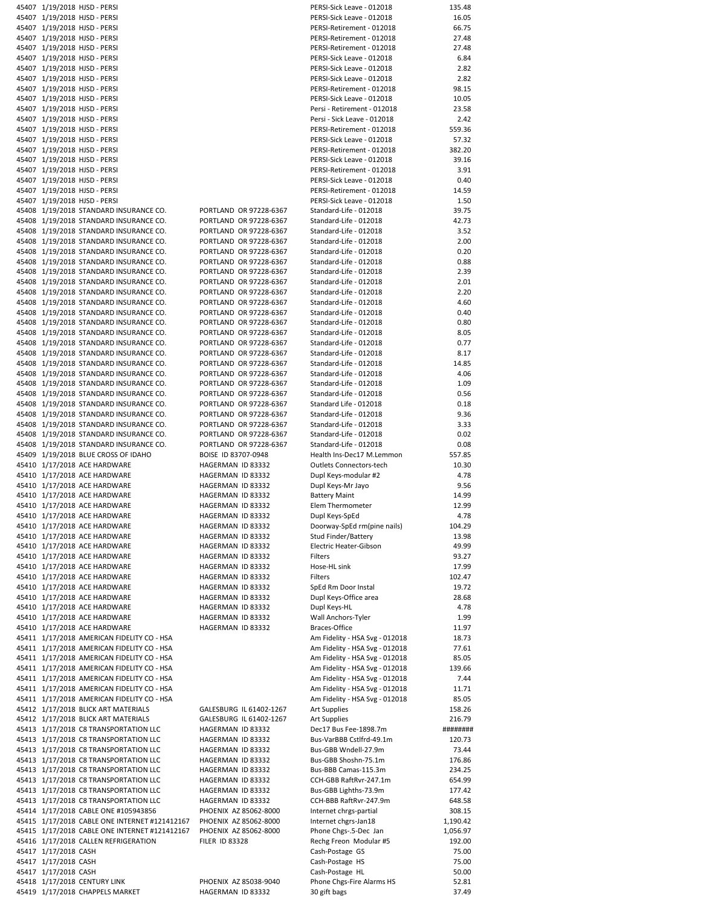|                      | 45407 1/19/2018 HJSD - PERSI                                    |                                            | PERSI-Sick Leave - 012018                 | 135.48         |
|----------------------|-----------------------------------------------------------------|--------------------------------------------|-------------------------------------------|----------------|
|                      | 45407 1/19/2018 HJSD - PERSI                                    |                                            | PERSI-Sick Leave - 012018                 | 16.05          |
|                      | 45407 1/19/2018 HJSD - PERSI                                    |                                            | PERSI-Retirement - 012018                 | 66.75          |
|                      | 45407 1/19/2018 HJSD - PERSI                                    |                                            | PERSI-Retirement - 012018                 | 27.48          |
|                      | 45407 1/19/2018 HJSD - PERSI                                    |                                            | PERSI-Retirement - 012018                 | 27.48          |
|                      | 45407 1/19/2018 HJSD - PERSI                                    |                                            | PERSI-Sick Leave - 012018                 | 6.84           |
|                      | 45407 1/19/2018 HJSD - PERSI                                    |                                            | PERSI-Sick Leave - 012018                 | 2.82           |
|                      |                                                                 |                                            | PERSI-Sick Leave - 012018                 | 2.82           |
|                      | 45407 1/19/2018 HJSD - PERSI                                    |                                            |                                           |                |
|                      | 45407 1/19/2018 HJSD - PERSI                                    |                                            | PERSI-Retirement - 012018                 | 98.15          |
|                      | 45407 1/19/2018 HJSD - PERSI                                    |                                            | PERSI-Sick Leave - 012018                 | 10.05          |
|                      | 45407 1/19/2018 HJSD - PERSI                                    |                                            | Persi - Retirement - 012018               | 23.58          |
|                      | 45407 1/19/2018 HJSD - PERSI                                    |                                            | Persi - Sick Leave - 012018               | 2.42           |
|                      | 45407 1/19/2018 HJSD - PERSI                                    |                                            | PERSI-Retirement - 012018                 | 559.36         |
|                      | 45407 1/19/2018 HJSD - PERSI                                    |                                            | PERSI-Sick Leave - 012018                 | 57.32          |
|                      | 45407 1/19/2018 HJSD - PERSI                                    |                                            | PERSI-Retirement - 012018                 | 382.20         |
|                      |                                                                 |                                            |                                           |                |
|                      | 45407 1/19/2018 HJSD - PERSI                                    |                                            | PERSI-Sick Leave - 012018                 | 39.16          |
|                      | 45407 1/19/2018 HJSD - PERSI                                    |                                            | PERSI-Retirement - 012018                 | 3.91           |
|                      | 45407 1/19/2018 HJSD - PERSI                                    |                                            | PERSI-Sick Leave - 012018                 | 0.40           |
|                      | 45407 1/19/2018 HJSD - PERSI                                    |                                            | PERSI-Retirement - 012018                 | 14.59          |
|                      | 45407 1/19/2018 HJSD - PERSI                                    |                                            | PERSI-Sick Leave - 012018                 | 1.50           |
|                      | 45408 1/19/2018 STANDARD INSURANCE CO.                          | PORTLAND OR 97228-6367                     | Standard-Life - 012018                    | 39.75          |
|                      | 45408 1/19/2018 STANDARD INSURANCE CO.                          | PORTLAND OR 97228-6367                     | Standard-Life - 012018                    | 42.73          |
|                      | 45408 1/19/2018 STANDARD INSURANCE CO.                          | PORTLAND OR 97228-6367                     | Standard-Life - 012018                    | 3.52           |
|                      | 45408 1/19/2018 STANDARD INSURANCE CO.                          | PORTLAND OR 97228-6367                     | Standard-Life - 012018                    | 2.00           |
|                      |                                                                 |                                            |                                           |                |
|                      | 45408 1/19/2018 STANDARD INSURANCE CO.                          | PORTLAND OR 97228-6367                     | Standard-Life - 012018                    | 0.20           |
|                      | 45408 1/19/2018 STANDARD INSURANCE CO.                          | PORTLAND OR 97228-6367                     | Standard-Life - 012018                    | 0.88           |
|                      | 45408 1/19/2018 STANDARD INSURANCE CO.                          | PORTLAND OR 97228-6367                     | Standard-Life - 012018                    | 2.39           |
|                      | 45408 1/19/2018 STANDARD INSURANCE CO.                          | PORTLAND OR 97228-6367                     | Standard-Life - 012018                    | 2.01           |
|                      | 45408 1/19/2018 STANDARD INSURANCE CO.                          | PORTLAND OR 97228-6367                     | Standard-Life - 012018                    | 2.20           |
|                      | 45408 1/19/2018 STANDARD INSURANCE CO.                          | PORTLAND OR 97228-6367                     | Standard-Life - 012018                    | 4.60           |
|                      | 45408 1/19/2018 STANDARD INSURANCE CO.                          | PORTLAND OR 97228-6367                     | Standard-Life - 012018                    | 0.40           |
|                      | 45408 1/19/2018 STANDARD INSURANCE CO.                          | PORTLAND OR 97228-6367                     |                                           |                |
|                      |                                                                 |                                            | Standard-Life - 012018                    | 0.80           |
|                      | 45408 1/19/2018 STANDARD INSURANCE CO.                          | PORTLAND OR 97228-6367                     | Standard-Life - 012018                    | 8.05           |
|                      | 45408 1/19/2018 STANDARD INSURANCE CO.                          | PORTLAND OR 97228-6367                     | Standard-Life - 012018                    | 0.77           |
|                      | 45408 1/19/2018 STANDARD INSURANCE CO.                          | PORTLAND OR 97228-6367                     | Standard-Life - 012018                    | 8.17           |
|                      | 45408 1/19/2018 STANDARD INSURANCE CO.                          | PORTLAND OR 97228-6367                     | Standard-Life - 012018                    | 14.85          |
|                      | 45408 1/19/2018 STANDARD INSURANCE CO.                          | PORTLAND OR 97228-6367                     | Standard-Life - 012018                    | 4.06           |
|                      | 45408 1/19/2018 STANDARD INSURANCE CO.                          | PORTLAND OR 97228-6367                     | Standard-Life - 012018                    | 1.09           |
|                      | 45408 1/19/2018 STANDARD INSURANCE CO.                          | PORTLAND OR 97228-6367                     | Standard-Life - 012018                    | 0.56           |
|                      |                                                                 |                                            |                                           |                |
|                      | 45408 1/19/2018 STANDARD INSURANCE CO.                          | PORTLAND OR 97228-6367                     | Standard Life - 012018                    | 0.18           |
|                      | 45408 1/19/2018 STANDARD INSURANCE CO.                          | PORTLAND OR 97228-6367                     | Standard-Life - 012018                    | 9.36           |
|                      | 45408 1/19/2018 STANDARD INSURANCE CO.                          | PORTLAND OR 97228-6367                     | Standard-Life - 012018                    | 3.33           |
|                      | 45408 1/19/2018 STANDARD INSURANCE CO.                          | PORTLAND OR 97228-6367                     | Standard-Life - 012018                    | 0.02           |
|                      | 45408 1/19/2018 STANDARD INSURANCE CO.                          | PORTLAND OR 97228-6367                     | Standard-Life - 012018                    | 0.08           |
|                      | 45409 1/19/2018 BLUE CROSS OF IDAHO                             | BOISE ID 83707-0948                        | Health Ins-Dec17 M.Lemmon                 | 557.85         |
|                      | 45410 1/17/2018 ACE HARDWARE                                    | HAGERMAN ID 83332                          | Outlets Connectors-tech                   | 10.30          |
|                      | 45410 1/17/2018 ACE HARDWARE                                    | HAGERMAN ID 83332                          | Dupl Keys-modular #2                      | 4.78           |
|                      |                                                                 |                                            |                                           |                |
|                      | 45410 1/17/2018 ACE HARDWARE                                    | HAGERMAN ID 83332                          | Dupl Keys-Mr Jayo                         | 9.56           |
|                      | 45410 1/17/2018 ACE HARDWARE                                    | HAGERMAN ID 83332                          | <b>Battery Maint</b>                      | 14.99          |
|                      | 45410 1/17/2018 ACE HARDWARE                                    | HAGERMAN ID 83332                          | Elem Thermometer                          | 12.99          |
|                      | 45410 1/17/2018 ACE HARDWARE                                    | HAGERMAN ID 83332                          | Dupl Keys-SpEd                            | 4.78           |
|                      | 45410 1/17/2018 ACE HARDWARE                                    | HAGERMAN ID 83332                          | Doorway-SpEd rm(pine nails)               | 104.29         |
|                      | 45410 1/17/2018 ACE HARDWARE                                    | HAGERMAN ID 83332                          | Stud Finder/Battery                       | 13.98          |
|                      | 45410 1/17/2018 ACE HARDWARE                                    | HAGERMAN ID 83332                          | Electric Heater-Gibson                    | 49.99          |
|                      | 45410 1/17/2018 ACE HARDWARE                                    | HAGERMAN ID 83332                          | Filters                                   | 93.27          |
|                      |                                                                 |                                            |                                           |                |
|                      | 45410 1/17/2018 ACE HARDWARE                                    | HAGERMAN ID 83332                          | Hose-HL sink                              | 17.99          |
|                      | 45410 1/17/2018 ACE HARDWARE                                    | HAGERMAN ID 83332                          | Filters                                   | 102.47         |
|                      | 45410 1/17/2018 ACE HARDWARE                                    | HAGERMAN ID 83332                          | SpEd Rm Door Instal                       | 19.72          |
|                      | 45410 1/17/2018 ACE HARDWARE                                    | HAGERMAN ID 83332                          | Dupl Keys-Office area                     | 28.68          |
|                      | 45410 1/17/2018 ACE HARDWARE                                    | HAGERMAN ID 83332                          | Dupl Keys-HL                              | 4.78           |
|                      | 45410 1/17/2018 ACE HARDWARE                                    | HAGERMAN ID 83332                          | Wall Anchors-Tyler                        | 1.99           |
|                      | 45410 1/17/2018 ACE HARDWARE                                    | HAGERMAN ID 83332                          | Braces-Office                             | 11.97          |
|                      | 45411 1/17/2018 AMERICAN FIDELITY CO - HSA                      |                                            | Am Fidelity - HSA Svg - 012018            | 18.73          |
|                      |                                                                 |                                            |                                           |                |
|                      | 45411 1/17/2018 AMERICAN FIDELITY CO - HSA                      |                                            | Am Fidelity - HSA Svg - 012018            | 77.61          |
|                      | 45411 1/17/2018 AMERICAN FIDELITY CO - HSA                      |                                            | Am Fidelity - HSA Svg - 012018            | 85.05          |
|                      | 45411 1/17/2018 AMERICAN FIDELITY CO - HSA                      |                                            | Am Fidelity - HSA Svg - 012018            | 139.66         |
|                      | 45411 1/17/2018 AMERICAN FIDELITY CO - HSA                      |                                            | Am Fidelity - HSA Svg - 012018            | 7.44           |
|                      | 45411 1/17/2018 AMERICAN FIDELITY CO - HSA                      |                                            | Am Fidelity - HSA Svg - 012018            | 11.71          |
|                      | 45411 1/17/2018 AMERICAN FIDELITY CO - HSA                      |                                            | Am Fidelity - HSA Svg - 012018            | 85.05          |
|                      | 45412 1/17/2018 BLICK ART MATERIALS                             | GALESBURG IL 61402-1267                    | Art Supplies                              | 158.26         |
|                      | 45412 1/17/2018 BLICK ART MATERIALS                             | GALESBURG IL 61402-1267                    | <b>Art Supplies</b>                       | 216.79         |
|                      |                                                                 |                                            |                                           |                |
|                      | 45413 1/17/2018 C8 TRANSPORTATION LLC                           | HAGERMAN ID 83332                          | Dec17 Bus Fee-1898.7m                     | ########       |
|                      | 45413 1/17/2018 C8 TRANSPORTATION LLC                           | HAGERMAN ID 83332                          | Bus-VarBBB Cstlfrd-49.1m                  | 120.73         |
|                      | 45413 1/17/2018 C8 TRANSPORTATION LLC                           | HAGERMAN ID 83332                          | Bus-GBB Wndell-27.9m                      | 73.44          |
|                      |                                                                 |                                            | Bus-GBB Shoshn-75.1m                      | 176.86         |
|                      | 45413 1/17/2018 C8 TRANSPORTATION LLC                           | HAGERMAN ID 83332                          |                                           |                |
|                      | 45413 1/17/2018 C8 TRANSPORTATION LLC                           | HAGERMAN ID 83332                          | Bus-BBB Camas-115.3m                      | 234.25         |
|                      | 45413 1/17/2018 C8 TRANSPORTATION LLC                           | HAGERMAN ID 83332                          | CCH-GBB RaftRvr-247.1m                    | 654.99         |
|                      |                                                                 |                                            |                                           |                |
|                      | 45413 1/17/2018 C8 TRANSPORTATION LLC                           | HAGERMAN ID 83332                          | Bus-GBB Lighths-73.9m                     | 177.42         |
|                      | 45413 1/17/2018 C8 TRANSPORTATION LLC                           | HAGERMAN ID 83332                          | CCH-BBB RaftRvr-247.9m                    | 648.58         |
|                      | 45414 1/17/2018 CABLE ONE #105943856                            | PHOENIX AZ 85062-8000                      | Internet chrgs-partial                    | 308.15         |
|                      | 45415 1/17/2018 CABLE ONE INTERNET #121412167                   | PHOENIX AZ 85062-8000                      | Internet chgrs-Jan18                      | 1,190.42       |
|                      | 45415 1/17/2018 CABLE ONE INTERNET #121412167                   | PHOENIX AZ 85062-8000                      | Phone Chgs-.5-Dec Jan                     | 1,056.97       |
|                      | 45416 1/17/2018 CALLEN REFRIGERATION                            | <b>FILER ID 83328</b>                      | Rechg Freon Modular #5                    | 192.00         |
| 45417 1/17/2018 CASH |                                                                 |                                            | Cash-Postage GS                           | 75.00          |
| 45417 1/17/2018 CASH |                                                                 |                                            | Cash-Postage HS                           | 75.00          |
|                      |                                                                 |                                            |                                           |                |
| 45417 1/17/2018 CASH |                                                                 |                                            | Cash-Postage HL                           | 50.00          |
|                      | 45418 1/17/2018 CENTURY LINK<br>45419 1/17/2018 CHAPPELS MARKET | PHOENIX AZ 85038-9040<br>HAGERMAN ID 83332 | Phone Chgs-Fire Alarms HS<br>30 gift bags | 52.81<br>37.49 |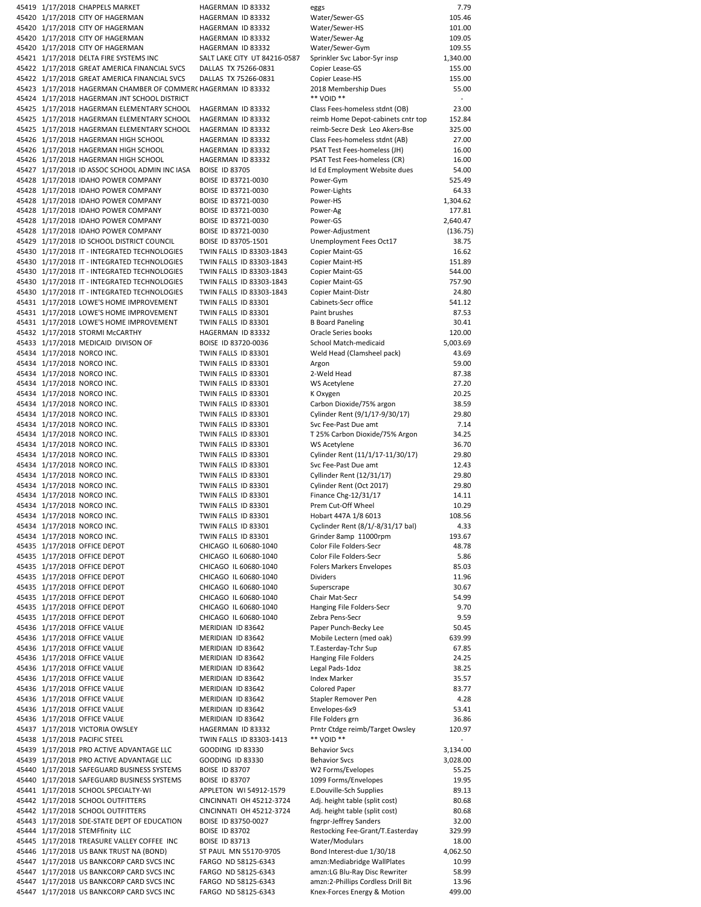| 45419 1/17/2018 CHAPPELS MARKET                                                        | HAGERMAN ID 83332                          | eggs                                                              | 7.79            |
|----------------------------------------------------------------------------------------|--------------------------------------------|-------------------------------------------------------------------|-----------------|
|                                                                                        |                                            | Water/Sewer-GS                                                    | 105.46          |
| 45420 1/17/2018 CITY OF HAGERMAN                                                       | HAGERMAN ID 83332                          |                                                                   |                 |
| 45420 1/17/2018 CITY OF HAGERMAN                                                       | HAGERMAN ID 83332                          | Water/Sewer-HS                                                    | 101.00          |
| 45420 1/17/2018 CITY OF HAGERMAN                                                       | HAGERMAN ID 83332                          | Water/Sewer-Ag                                                    | 109.05          |
| 45420 1/17/2018 CITY OF HAGERMAN                                                       | HAGERMAN ID 83332                          | Water/Sewer-Gym                                                   | 109.55          |
| 45421 1/17/2018 DELTA FIRE SYSTEMS INC                                                 | SALT LAKE CITY UT 84216-0587               | Sprinkler Svc Labor-5yr insp                                      | 1,340.00        |
|                                                                                        |                                            |                                                                   |                 |
| 45422 1/17/2018 GREAT AMERICA FINANCIAL SVCS                                           | DALLAS TX 75266-0831                       | Copier Lease-GS                                                   | 155.00          |
| 45422 1/17/2018 GREAT AMERICA FINANCIAL SVCS                                           | DALLAS TX 75266-0831                       | Copier Lease-HS                                                   | 155.00          |
| 45423 1/17/2018 HAGERMAN CHAMBER OF COMMER( HAGERMAN ID 83332                          |                                            | 2018 Membership Dues                                              | 55.00           |
|                                                                                        |                                            | ** VOID **                                                        |                 |
| 45424 1/17/2018 HAGERMAN JNT SCHOOL DISTRICT                                           |                                            |                                                                   |                 |
| 45425 1/17/2018 HAGERMAN ELEMENTARY SCHOOL                                             | HAGERMAN ID 83332                          | Class Fees-homeless stdnt (OB)                                    | 23.00           |
| 45425 1/17/2018 HAGERMAN ELEMENTARY SCHOOL                                             | HAGERMAN ID 83332                          | reimb Home Depot-cabinets cntr top                                | 152.84          |
| 45425 1/17/2018 HAGERMAN ELEMENTARY SCHOOL                                             | HAGERMAN ID 83332                          | reimb-Secre Desk Leo Akers-Bse                                    | 325.00          |
|                                                                                        |                                            |                                                                   |                 |
| 45426 1/17/2018 HAGERMAN HIGH SCHOOL                                                   | HAGERMAN ID 83332                          | Class Fees-homeless stdnt (AB)                                    | 27.00           |
| 45426 1/17/2018 HAGERMAN HIGH SCHOOL                                                   | HAGERMAN ID 83332                          | PSAT Test Fees-homeless (JH)                                      | 16.00           |
| 45426 1/17/2018 HAGERMAN HIGH SCHOOL                                                   | HAGERMAN ID 83332                          | PSAT Test Fees-homeless (CR)                                      | 16.00           |
| 45427 1/17/2018 ID ASSOC SCHOOL ADMIN INC IASA                                         | <b>BOISE ID 83705</b>                      |                                                                   | 54.00           |
|                                                                                        |                                            | Id Ed Employment Website dues                                     |                 |
| 45428 1/17/2018 IDAHO POWER COMPANY                                                    | BOISE ID 83721-0030                        | Power-Gym                                                         | 525.49          |
| 45428 1/17/2018 IDAHO POWER COMPANY                                                    | BOISE ID 83721-0030                        | Power-Lights                                                      | 64.33           |
| 45428 1/17/2018 IDAHO POWER COMPANY                                                    | BOISE ID 83721-0030                        | Power-HS                                                          | 1,304.62        |
|                                                                                        |                                            |                                                                   |                 |
| 45428 1/17/2018 IDAHO POWER COMPANY                                                    | BOISE ID 83721-0030                        | Power-Ag                                                          | 177.81          |
| 45428 1/17/2018 IDAHO POWER COMPANY                                                    | BOISE ID 83721-0030                        | Power-GS                                                          | 2,640.47        |
| 45428 1/17/2018 IDAHO POWER COMPANY                                                    | BOISE ID 83721-0030                        | Power-Adjustment                                                  | (136.75)        |
| 45429 1/17/2018 ID SCHOOL DISTRICT COUNCIL                                             | BOISE ID 83705-1501                        | Unemployment Fees Oct17                                           | 38.75           |
|                                                                                        |                                            |                                                                   |                 |
| 45430 1/17/2018 IT - INTEGRATED TECHNOLOGIES                                           | TWIN FALLS ID 83303-1843                   | Copier Maint-GS                                                   | 16.62           |
| 45430 1/17/2018 IT - INTEGRATED TECHNOLOGIES                                           | TWIN FALLS ID 83303-1843                   | Copier Maint-HS                                                   | 151.89          |
| 45430 1/17/2018 IT - INTEGRATED TECHNOLOGIES                                           | TWIN FALLS ID 83303-1843                   | Copier Maint-GS                                                   | 544.00          |
|                                                                                        |                                            |                                                                   | 757.90          |
| 45430 1/17/2018 IT - INTEGRATED TECHNOLOGIES                                           | TWIN FALLS ID 83303-1843                   | Copier Maint-GS                                                   |                 |
| 45430 1/17/2018 IT - INTEGRATED TECHNOLOGIES                                           | TWIN FALLS ID 83303-1843                   | Copier Maint-Distr                                                | 24.80           |
| 45431 1/17/2018 LOWE'S HOME IMPROVEMENT                                                | TWIN FALLS ID 83301                        | Cabinets-Secr office                                              | 541.12          |
| 45431 1/17/2018 LOWE'S HOME IMPROVEMENT                                                | TWIN FALLS ID 83301                        | Paint brushes                                                     | 87.53           |
|                                                                                        |                                            |                                                                   |                 |
| 45431 1/17/2018 LOWE'S HOME IMPROVEMENT                                                | TWIN FALLS ID 83301                        | <b>B</b> Board Paneling                                           | 30.41           |
| 45432 1/17/2018 STORMI McCARTHY                                                        | HAGERMAN ID 83332                          | Oracle Series books                                               | 120.00          |
| 45433 1/17/2018 MEDICAID DIVISON OF                                                    | BOISE ID 83720-0036                        | School Match-medicaid                                             | 5,003.69        |
|                                                                                        |                                            |                                                                   |                 |
| 45434 1/17/2018 NORCO INC.                                                             | TWIN FALLS ID 83301                        | Weld Head (Clamsheel pack)                                        | 43.69           |
| 45434 1/17/2018 NORCO INC.                                                             | TWIN FALLS ID 83301                        | Argon                                                             | 59.00           |
| 45434 1/17/2018 NORCO INC.                                                             | TWIN FALLS ID 83301                        | 2-Weld Head                                                       | 87.38           |
| 45434 1/17/2018 NORCO INC.                                                             |                                            |                                                                   | 27.20           |
|                                                                                        | TWIN FALLS ID 83301                        | WS Acetylene                                                      |                 |
| 45434 1/17/2018 NORCO INC.                                                             | TWIN FALLS ID 83301                        | K Oxygen                                                          | 20.25           |
| 45434 1/17/2018 NORCO INC.                                                             | TWIN FALLS ID 83301                        | Carbon Dioxide/75% argon                                          | 38.59           |
| 45434 1/17/2018 NORCO INC.                                                             | TWIN FALLS ID 83301                        | Cylinder Rent (9/1/17-9/30/17)                                    | 29.80           |
|                                                                                        |                                            |                                                                   |                 |
| 45434 1/17/2018 NORCO INC.                                                             | TWIN FALLS ID 83301                        | Svc Fee-Past Due amt                                              | 7.14            |
| 45434 1/17/2018 NORCO INC.                                                             | TWIN FALLS ID 83301                        | T 25% Carbon Dioxide/75% Argon                                    | 34.25           |
| 45434 1/17/2018 NORCO INC.                                                             | TWIN FALLS ID 83301                        | WS Acetylene                                                      | 36.70           |
|                                                                                        |                                            |                                                                   |                 |
| 45434 1/17/2018 NORCO INC.                                                             | TWIN FALLS ID 83301                        | Cylinder Rent (11/1/17-11/30/17)                                  | 29.80           |
| 45434 1/17/2018 NORCO INC.                                                             | TWIN FALLS ID 83301                        | Svc Fee-Past Due amt                                              | 12.43           |
| 45434 1/17/2018 NORCO INC.                                                             | TWIN FALLS ID 83301                        | Cyllinder Rent (12/31/17)                                         | 29.80           |
| 45434 1/17/2018 NORCO INC.                                                             | TWIN FALLS ID 83301                        | Cylinder Rent (Oct 2017)                                          | 29.80           |
|                                                                                        |                                            |                                                                   |                 |
| 45434 1/17/2018 NORCO INC.                                                             | TWIN FALLS ID 83301                        | Finance Chg-12/31/17                                              | 14.11           |
| 45434 1/17/2018 NORCO INC.                                                             | TWIN FALLS ID 83301                        | Prem Cut-Off Wheel                                                | 10.29           |
|                                                                                        | TWIN FALLS ID 83301                        | Hobart 447A 1/8 6013                                              | 108.56          |
|                                                                                        |                                            |                                                                   |                 |
| 45434 1/17/2018 NORCO INC.                                                             |                                            |                                                                   |                 |
| 45434 1/17/2018 NORCO INC.                                                             | TWIN FALLS ID 83301                        | Cyclinder Rent (8/1/-8/31/17 bal)                                 | 4.33            |
| 45434 1/17/2018 NORCO INC.                                                             | TWIN FALLS ID 83301                        | Grinder 8amp 11000rpm                                             | 193.67          |
|                                                                                        |                                            |                                                                   |                 |
| 45435 1/17/2018 OFFICE DEPOT                                                           | CHICAGO IL 60680-1040                      | Color File Folders-Secr                                           | 48.78           |
| 45435 1/17/2018 OFFICE DEPOT                                                           | CHICAGO IL 60680-1040                      | Color File Folders-Secr                                           | 5.86            |
| 45435 1/17/2018 OFFICE DEPOT                                                           | CHICAGO IL 60680-1040                      | <b>Folers Markers Envelopes</b>                                   | 85.03           |
| 45435 1/17/2018 OFFICE DEPOT                                                           | CHICAGO IL 60680-1040                      | Dividers                                                          | 11.96           |
|                                                                                        |                                            |                                                                   |                 |
| 45435 1/17/2018 OFFICE DEPOT                                                           | CHICAGO IL 60680-1040                      | Superscrape                                                       | 30.67           |
| 45435 1/17/2018 OFFICE DEPOT                                                           | CHICAGO IL 60680-1040                      | Chair Mat-Secr                                                    | 54.99           |
| 45435 1/17/2018 OFFICE DEPOT                                                           | CHICAGO IL 60680-1040                      | Hanging File Folders-Secr                                         | 9.70            |
|                                                                                        |                                            |                                                                   |                 |
| 45435 1/17/2018 OFFICE DEPOT                                                           | CHICAGO IL 60680-1040                      | Zebra Pens-Secr                                                   | 9.59            |
| 45436 1/17/2018 OFFICE VALUE                                                           | MERIDIAN ID 83642                          | Paper Punch-Becky Lee                                             | 50.45           |
| 45436 1/17/2018 OFFICE VALUE                                                           | MERIDIAN ID 83642                          | Mobile Lectern (med oak)                                          | 639.99          |
| 45436 1/17/2018 OFFICE VALUE                                                           | MERIDIAN ID 83642                          | T.Easterday-Tchr Sup                                              | 67.85           |
|                                                                                        |                                            |                                                                   |                 |
| 45436 1/17/2018 OFFICE VALUE                                                           | MERIDIAN ID 83642                          | Hanging File Folders                                              | 24.25           |
| 45436 1/17/2018 OFFICE VALUE                                                           | MERIDIAN ID 83642                          | Legal Pads-1doz                                                   | 38.25           |
| 45436 1/17/2018 OFFICE VALUE                                                           | MERIDIAN ID 83642                          | Index Marker                                                      | 35.57           |
|                                                                                        | MERIDIAN ID 83642                          | <b>Colored Paper</b>                                              | 83.77           |
| 45436 1/17/2018 OFFICE VALUE                                                           |                                            |                                                                   |                 |
| 45436 1/17/2018 OFFICE VALUE                                                           | MERIDIAN ID 83642                          | Stapler Remover Pen                                               | 4.28            |
| 45436 1/17/2018 OFFICE VALUE                                                           | MERIDIAN ID 83642                          | Envelopes-6x9                                                     | 53.41           |
| 45436 1/17/2018 OFFICE VALUE                                                           | MERIDIAN ID 83642                          | File Folders grn                                                  | 36.86           |
|                                                                                        |                                            |                                                                   |                 |
| 45437 1/17/2018 VICTORIA OWSLEY                                                        | HAGERMAN ID 83332                          | Prntr Ctdge reimb/Target Owsley                                   | 120.97          |
| 45438 1/17/2018 PACIFIC STEEL                                                          | TWIN FALLS ID 83303-1413                   | ** VOID **                                                        | ٠               |
| 45439 1/17/2018 PRO ACTIVE ADVANTAGE LLC                                               | GOODING ID 83330                           | <b>Behavior Svcs</b>                                              | 3,134.00        |
|                                                                                        |                                            |                                                                   |                 |
| 45439 1/17/2018 PRO ACTIVE ADVANTAGE LLC                                               | GOODING ID 83330                           | <b>Behavior Svcs</b>                                              | 3,028.00        |
| 45440 1/17/2018 SAFEGUARD BUSINESS SYSTEMS                                             | <b>BOISE ID 83707</b>                      | W2 Forms/Evelopes                                                 | 55.25           |
| 45440 1/17/2018 SAFEGUARD BUSINESS SYSTEMS                                             | <b>BOISE ID 83707</b>                      | 1099 Forms/Envelopes                                              | 19.95           |
| 45441 1/17/2018 SCHOOL SPECIALTY-WI                                                    | APPLETON WI 54912-1579                     | E.Douville-Sch Supplies                                           | 89.13           |
|                                                                                        |                                            |                                                                   |                 |
| 45442 1/17/2018 SCHOOL OUTFITTERS                                                      | CINCINNATI OH 45212-3724                   | Adj. height table (split cost)                                    | 80.68           |
| 45442 1/17/2018 SCHOOL OUTFITTERS                                                      | CINCINNATI OH 45212-3724                   | Adj. height table (split cost)                                    | 80.68           |
| 45443 1/17/2018 SDE-STATE DEPT OF EDUCATION                                            | BOISE ID 83750-0027                        | fngrpr-Jeffrey Sanders                                            | 32.00           |
|                                                                                        |                                            |                                                                   |                 |
| 45444 1/17/2018 STEMFfinity LLC                                                        | <b>BOISE ID 83702</b>                      | Restocking Fee-Grant/T.Easterday                                  | 329.99          |
| 45445 1/17/2018 TREASURE VALLEY COFFEE INC                                             | <b>BOISE ID 83713</b>                      | Water/Modulars                                                    | 18.00           |
| 45446 1/17/2018 US BANK TRUST NA (BOND)                                                | ST PAUL MN 55170-9705                      | Bond Interest-due 1/30/18                                         | 4,062.50        |
|                                                                                        |                                            |                                                                   |                 |
| 45447 1/17/2018 US BANKCORP CARD SVCS INC                                              | FARGO ND 58125-6343                        | amzn:Mediabridge WallPlates                                       | 10.99           |
| 45447 1/17/2018 US BANKCORP CARD SVCS INC                                              | FARGO ND 58125-6343                        | amzn:LG Blu-Ray Disc Rewriter                                     | 58.99           |
| 45447 1/17/2018 US BANKCORP CARD SVCS INC<br>45447 1/17/2018 US BANKCORP CARD SVCS INC | FARGO ND 58125-6343<br>FARGO ND 58125-6343 | amzn:2-Phillips Cordless Drill Bit<br>Knex-Forces Energy & Motion | 13.96<br>499.00 |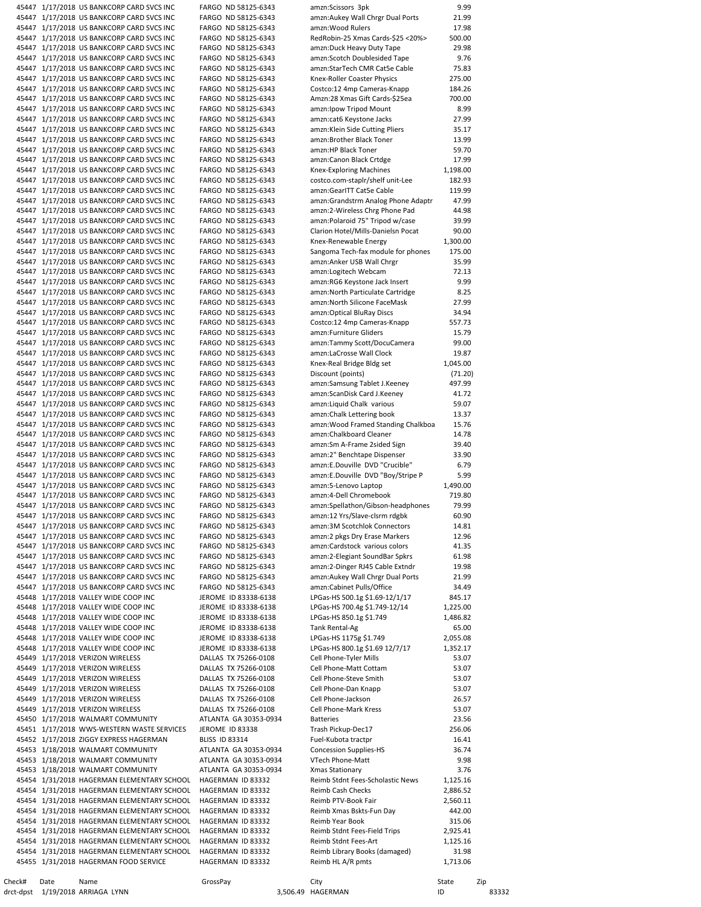|           |      | 45447 1/17/2018 US BANKCORP CARD SVCS INC                                              |                       | FARGO ND 58125-6343                          | amzn:Scissors 3pk                                             | 9.99              |       |
|-----------|------|----------------------------------------------------------------------------------------|-----------------------|----------------------------------------------|---------------------------------------------------------------|-------------------|-------|
|           |      | 45447 1/17/2018 US BANKCORP CARD SVCS INC                                              |                       | FARGO ND 58125-6343                          | amzn:Aukey Wall Chrgr Dual Ports                              | 21.99             |       |
|           |      | 45447 1/17/2018 US BANKCORP CARD SVCS INC                                              |                       | FARGO ND 58125-6343                          | amzn:Wood Rulers                                              | 17.98             |       |
|           |      | 45447 1/17/2018 US BANKCORP CARD SVCS INC                                              |                       | FARGO ND 58125-6343                          | RedRobin-25 Xmas Cards-\$25 <20%>                             | 500.00            |       |
|           |      | 45447 1/17/2018 US BANKCORP CARD SVCS INC                                              |                       | FARGO ND 58125-6343                          | amzn:Duck Heavy Duty Tape                                     | 29.98             |       |
|           |      | 45447 1/17/2018 US BANKCORP CARD SVCS INC                                              |                       | FARGO ND 58125-6343                          | amzn:Scotch Doublesided Tape                                  | 9.76              |       |
|           |      | 45447 1/17/2018 US BANKCORP CARD SVCS INC                                              |                       | FARGO ND 58125-6343                          | amzn:StarTech CMR Cat5e Cable                                 | 75.83             |       |
|           |      | 45447 1/17/2018 US BANKCORP CARD SVCS INC                                              |                       | FARGO ND 58125-6343<br>FARGO ND 58125-6343   | Knex-Roller Coaster Physics                                   | 275.00            |       |
|           |      | 45447 1/17/2018 US BANKCORP CARD SVCS INC<br>45447 1/17/2018 US BANKCORP CARD SVCS INC |                       | FARGO ND 58125-6343                          | Costco:12 4mp Cameras-Knapp<br>Amzn:28 Xmas Gift Cards-\$25ea | 184.26<br>700.00  |       |
|           |      | 45447 1/17/2018 US BANKCORP CARD SVCS INC                                              |                       | FARGO ND 58125-6343                          | amzn:Ipow Tripod Mount                                        | 8.99              |       |
|           |      | 45447 1/17/2018 US BANKCORP CARD SVCS INC                                              |                       | FARGO ND 58125-6343                          | amzn:cat6 Keystone Jacks                                      | 27.99             |       |
|           |      | 45447 1/17/2018 US BANKCORP CARD SVCS INC                                              |                       | FARGO ND 58125-6343                          | amzn:Klein Side Cutting Pliers                                | 35.17             |       |
|           |      | 45447 1/17/2018 US BANKCORP CARD SVCS INC                                              |                       | FARGO ND 58125-6343                          | amzn:Brother Black Toner                                      | 13.99             |       |
|           |      | 45447 1/17/2018 US BANKCORP CARD SVCS INC                                              |                       | FARGO ND 58125-6343                          | amzn:HP Black Toner                                           | 59.70             |       |
|           |      | 45447 1/17/2018 US BANKCORP CARD SVCS INC                                              |                       | FARGO ND 58125-6343                          | amzn:Canon Black Crtdge                                       | 17.99             |       |
|           |      | 45447 1/17/2018 US BANKCORP CARD SVCS INC                                              |                       | FARGO ND 58125-6343                          | Knex-Exploring Machines                                       | 1,198.00          |       |
|           |      | 45447 1/17/2018 US BANKCORP CARD SVCS INC                                              |                       | FARGO ND 58125-6343                          | costco.com-staplr/shelf unit-Lee                              | 182.93            |       |
|           |      | 45447 1/17/2018 US BANKCORP CARD SVCS INC                                              |                       | FARGO ND 58125-6343                          | amzn:GearITT Cat5e Cable                                      | 119.99            |       |
|           |      | 45447 1/17/2018 US BANKCORP CARD SVCS INC                                              |                       | FARGO ND 58125-6343                          | amzn:Grandstrm Analog Phone Adaptr                            | 47.99             |       |
|           |      | 45447 1/17/2018 US BANKCORP CARD SVCS INC                                              |                       | FARGO ND 58125-6343                          | amzn:2-Wireless Chrg Phone Pad                                | 44.98             |       |
|           |      | 45447 1/17/2018 US BANKCORP CARD SVCS INC                                              |                       | FARGO ND 58125-6343                          | amzn:Polaroid 75" Tripod w/case                               | 39.99             |       |
|           |      | 45447 1/17/2018 US BANKCORP CARD SVCS INC                                              |                       | FARGO ND 58125-6343                          | Clarion Hotel/Mills-Danielsn Pocat                            | 90.00             |       |
|           |      | 45447 1/17/2018 US BANKCORP CARD SVCS INC                                              |                       | FARGO ND 58125-6343                          | Knex-Renewable Energy                                         | 1,300.00          |       |
|           |      | 45447 1/17/2018 US BANKCORP CARD SVCS INC                                              |                       | FARGO ND 58125-6343                          | Sangoma Tech-fax module for phones                            | 175.00            |       |
|           |      | 45447 1/17/2018 US BANKCORP CARD SVCS INC                                              |                       | FARGO ND 58125-6343                          | amzn:Anker USB Wall Chrgr                                     | 35.99             |       |
|           |      | 45447 1/17/2018 US BANKCORP CARD SVCS INC                                              |                       | FARGO ND 58125-6343                          | amzn:Logitech Webcam                                          | 72.13             |       |
|           |      | 45447 1/17/2018 US BANKCORP CARD SVCS INC                                              |                       | FARGO ND 58125-6343                          | amzn:RG6 Keystone Jack Insert                                 | 9.99              |       |
|           |      | 45447 1/17/2018 US BANKCORP CARD SVCS INC                                              |                       | FARGO ND 58125-6343                          | amzn:North Particulate Cartridge                              | 8.25              |       |
|           |      | 45447 1/17/2018 US BANKCORP CARD SVCS INC                                              |                       | FARGO ND 58125-6343                          | amzn:North Silicone FaceMask                                  | 27.99             |       |
|           |      | 45447 1/17/2018 US BANKCORP CARD SVCS INC                                              |                       | FARGO ND 58125-6343                          | amzn:Optical BluRay Discs                                     | 34.94             |       |
|           |      | 45447 1/17/2018 US BANKCORP CARD SVCS INC<br>45447 1/17/2018 US BANKCORP CARD SVCS INC |                       | FARGO ND 58125-6343<br>FARGO ND 58125-6343   | Costco:12 4mp Cameras-Knapp<br>amzn:Furniture Gliders         | 557.73<br>15.79   |       |
|           |      | 45447 1/17/2018 US BANKCORP CARD SVCS INC                                              |                       | FARGO ND 58125-6343                          | amzn:Tammy Scott/DocuCamera                                   | 99.00             |       |
|           |      | 45447 1/17/2018 US BANKCORP CARD SVCS INC                                              |                       | FARGO ND 58125-6343                          | amzn:LaCrosse Wall Clock                                      | 19.87             |       |
|           |      | 45447 1/17/2018 US BANKCORP CARD SVCS INC                                              |                       | FARGO ND 58125-6343                          | Knex-Real Bridge Bldg set                                     | 1,045.00          |       |
|           |      | 45447 1/17/2018 US BANKCORP CARD SVCS INC                                              |                       | FARGO ND 58125-6343                          | Discount (points)                                             | (71.20)           |       |
|           |      | 45447 1/17/2018 US BANKCORP CARD SVCS INC                                              |                       | FARGO ND 58125-6343                          | amzn:Samsung Tablet J.Keeney                                  | 497.99            |       |
|           |      | 45447 1/17/2018 US BANKCORP CARD SVCS INC                                              |                       | FARGO ND 58125-6343                          | amzn:ScanDisk Card J.Keeney                                   | 41.72             |       |
|           |      | 45447 1/17/2018 US BANKCORP CARD SVCS INC                                              |                       | FARGO ND 58125-6343                          | amzn:Liquid Chalk various                                     | 59.07             |       |
|           |      | 45447 1/17/2018 US BANKCORP CARD SVCS INC                                              |                       | FARGO ND 58125-6343                          | amzn:Chalk Lettering book                                     | 13.37             |       |
|           |      | 45447 1/17/2018 US BANKCORP CARD SVCS INC                                              |                       | FARGO ND 58125-6343                          | amzn:Wood Framed Standing Chalkboa                            | 15.76             |       |
|           |      | 45447 1/17/2018 US BANKCORP CARD SVCS INC                                              |                       | FARGO ND 58125-6343                          | amzn:Chalkboard Cleaner                                       | 14.78             |       |
|           |      | 45447 1/17/2018 US BANKCORP CARD SVCS INC                                              |                       | FARGO ND 58125-6343                          | amzn:Sm A-Frame 2sided Sign                                   | 39.40             |       |
|           |      | 45447 1/17/2018 US BANKCORP CARD SVCS INC                                              |                       | FARGO ND 58125-6343                          | amzn:2" Benchtape Dispenser                                   | 33.90             |       |
|           |      | 45447 1/17/2018 US BANKCORP CARD SVCS INC                                              |                       | FARGO ND 58125-6343                          | amzn:E.Douville DVD "Crucible"                                | 6.79              |       |
|           |      | 45447 1/17/2018 US BANKCORP CARD SVCS INC                                              |                       | FARGO ND 58125-6343                          | amzn:E.Douville DVD "Boy/Stripe P                             | 5.99              |       |
|           |      | 45447 1/17/2018 US BANKCORP CARD SVCS INC                                              |                       | FARGO ND 58125-6343                          | amzn:5-Lenovo Laptop                                          | 1,490.00          |       |
|           |      | 45447 1/17/2018 US BANKCORP CARD SVCS INC                                              |                       | FARGO ND 58125-6343                          | amzn:4-Dell Chromebook                                        | 719.80            |       |
|           |      | 45447 1/17/2018 US BANKCORP CARD SVCS INC                                              |                       | FARGO ND 58125-6343                          | amzn:Spellathon/Gibson-headphones                             | 79.99             |       |
|           |      | 45447 1/17/2018 US BANKCORP CARD SVCS INC                                              |                       | FARGO ND 58125-6343                          | amzn:12 Yrs/Slave-clsrm rdgbk                                 | 60.90             |       |
|           |      | 45447 1/17/2018 US BANKCORP CARD SVCS INC                                              |                       | FARGO ND 58125-6343                          | amzn:3M Scotchlok Connectors                                  | 14.81             |       |
|           |      | 45447 1/17/2018 US BANKCORP CARD SVCS INC                                              |                       | FARGO ND 58125-6343                          | amzn:2 pkgs Dry Erase Markers                                 | 12.96             |       |
|           |      | 45447 1/17/2018 US BANKCORP CARD SVCS INC                                              |                       | FARGO ND 58125-6343                          | amzn:Cardstock various colors                                 | 41.35             |       |
|           |      | 45447 1/17/2018 US BANKCORP CARD SVCS INC                                              |                       | FARGO ND 58125-6343                          | amzn:2-Elegiant SoundBar Spkrs                                | 61.98             |       |
|           |      | 45447 1/17/2018 US BANKCORP CARD SVCS INC                                              |                       | FARGO ND 58125-6343                          | amzn:2-Dinger RJ45 Cable Extndr                               | 19.98             |       |
|           |      | 45447 1/17/2018 US BANKCORP CARD SVCS INC                                              |                       | FARGO ND 58125-6343                          | amzn:Aukey Wall Chrgr Dual Ports                              | 21.99             |       |
|           |      | 45447 1/17/2018 US BANKCORP CARD SVCS INC                                              |                       | FARGO ND 58125-6343                          | amzn:Cabinet Pulls/Office                                     | 34.49             |       |
|           |      | 45448 1/17/2018 VALLEY WIDE COOP INC                                                   |                       | JEROME ID 83338-6138                         | LPGas-HS 500.1g \$1.69-12/1/17                                | 845.17            |       |
|           |      | 45448 1/17/2018 VALLEY WIDE COOP INC<br>45448 1/17/2018 VALLEY WIDE COOP INC           |                       | JEROME ID 83338-6138<br>JEROME ID 83338-6138 | LPGas-HS 700.4g \$1.749-12/14<br>LPGas-HS 850.1g \$1.749      | 1,225.00          |       |
|           |      |                                                                                        |                       |                                              | <b>Tank Rental-Ag</b>                                         | 1,486.82          |       |
|           |      | 45448 1/17/2018 VALLEY WIDE COOP INC<br>45448 1/17/2018 VALLEY WIDE COOP INC           |                       | JEROME ID 83338-6138<br>JEROME ID 83338-6138 | LPGas-HS 1175g \$1.749                                        | 65.00<br>2,055.08 |       |
|           |      | 45448 1/17/2018 VALLEY WIDE COOP INC                                                   |                       | JEROME ID 83338-6138                         | LPGas-HS 800.1g \$1.69 12/7/17                                | 1,352.17          |       |
|           |      | 45449 1/17/2018 VERIZON WIRELESS                                                       |                       | DALLAS TX 75266-0108                         | Cell Phone-Tyler Mills                                        | 53.07             |       |
|           |      | 45449 1/17/2018 VERIZON WIRELESS                                                       |                       | DALLAS TX 75266-0108                         | Cell Phone-Matt Cottam                                        | 53.07             |       |
|           |      | 45449 1/17/2018 VERIZON WIRELESS                                                       |                       | DALLAS TX 75266-0108                         | Cell Phone-Steve Smith                                        | 53.07             |       |
|           |      | 45449 1/17/2018 VERIZON WIRELESS                                                       |                       | DALLAS TX 75266-0108                         | Cell Phone-Dan Knapp                                          | 53.07             |       |
|           |      | 45449 1/17/2018 VERIZON WIRELESS                                                       |                       | DALLAS TX 75266-0108                         | Cell Phone-Jackson                                            | 26.57             |       |
|           |      | 45449 1/17/2018 VERIZON WIRELESS                                                       |                       | DALLAS TX 75266-0108                         | Cell Phone-Mark Kress                                         | 53.07             |       |
|           |      | 45450 1/17/2018 WALMART COMMUNITY                                                      |                       | ATLANTA GA 30353-0934                        | <b>Batteries</b>                                              | 23.56             |       |
|           |      | 45451 1/17/2018 WWS-WESTERN WASTE SERVICES                                             |                       | JEROME ID 83338                              | Trash Pickup-Dec17                                            | 256.06            |       |
|           |      | 45452 1/17/2018 ZIGGY EXPRESS HAGERMAN                                                 | <b>BLISS ID 83314</b> |                                              | Fuel-Kubota tractpr                                           | 16.41             |       |
|           |      | 45453 1/18/2018 WALMART COMMUNITY                                                      |                       | ATLANTA GA 30353-0934                        | <b>Concession Supplies-HS</b>                                 | 36.74             |       |
|           |      | 45453 1/18/2018 WALMART COMMUNITY                                                      |                       | ATLANTA GA 30353-0934                        | VTech Phone-Matt                                              | 9.98              |       |
|           |      | 45453 1/18/2018 WALMART COMMUNITY                                                      |                       | ATLANTA GA 30353-0934                        | <b>Xmas Stationary</b>                                        | 3.76              |       |
|           |      | 45454 1/31/2018 HAGERMAN ELEMENTARY SCHOOL                                             |                       | HAGERMAN ID 83332                            | Reimb Stdnt Fees-Scholastic News                              | 1,125.16          |       |
|           |      | 45454 1/31/2018 HAGERMAN ELEMENTARY SCHOOL                                             |                       | HAGERMAN ID 83332                            | Reimb Cash Checks                                             | 2,886.52          |       |
|           |      | 45454 1/31/2018 HAGERMAN ELEMENTARY SCHOOL                                             |                       | HAGERMAN ID 83332                            | Reimb PTV-Book Fair                                           | 2,560.11          |       |
|           |      | 45454 1/31/2018 HAGERMAN ELEMENTARY SCHOOL                                             |                       | HAGERMAN ID 83332                            | Reimb Xmas Bskts-Fun Day                                      | 442.00            |       |
|           |      | 45454 1/31/2018 HAGERMAN ELEMENTARY SCHOOL                                             |                       | HAGERMAN ID 83332                            | Reimb Year Book                                               | 315.06            |       |
|           |      | 45454 1/31/2018 HAGERMAN ELEMENTARY SCHOOL                                             |                       | HAGERMAN ID 83332                            | Reimb Stdnt Fees-Field Trips                                  | 2,925.41          |       |
|           |      | 45454 1/31/2018 HAGERMAN ELEMENTARY SCHOOL                                             |                       | HAGERMAN ID 83332                            | Reimb Stdnt Fees-Art                                          | 1,125.16          |       |
|           |      | 45454 1/31/2018 HAGERMAN ELEMENTARY SCHOOL                                             |                       | HAGERMAN ID 83332                            | Reimb Library Books (damaged)                                 | 31.98             |       |
|           |      | 45455 1/31/2018 HAGERMAN FOOD SERVICE                                                  |                       | HAGERMAN ID 83332                            | Reimb HL A/R pmts                                             | 1,713.06          |       |
| Check#    | Date | Name                                                                                   | GrossPay              |                                              | City                                                          | State             | Zip   |
| drct-dpst |      | 1/19/2018 ARRIAGA LYNN                                                                 |                       |                                              | 3,506.49 HAGERMAN                                             | ID                | 83332 |
|           |      |                                                                                        |                       |                                              |                                                               |                   |       |